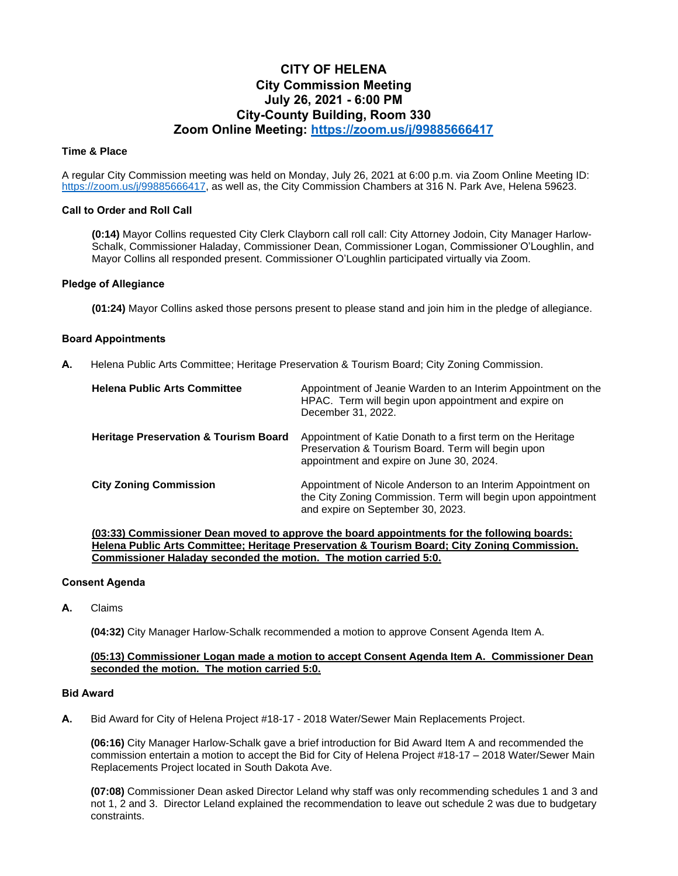# **CITY OF HELENA City Commission Meeting July 26, 2021 - 6:00 PM City-County Building, Room 330 Zoom Online Meeting:<https://zoom.us/j/99885666417>**

# **Time & Place**

A regular City Commission meeting was held on Monday, July 26, 2021 at 6:00 p.m. via Zoom Online Meeting ID: [https://zoom.us/j/99885666417,](https://zoom.us/j/99885666417) as well as, the City Commission Chambers at 316 N. Park Ave, Helena 59623.

# **Call to Order and Roll Call**

**(0:14)** Mayor Collins requested City Clerk Clayborn call roll call: City Attorney Jodoin, City Manager Harlow-Schalk, Commissioner Haladay, Commissioner Dean, Commissioner Logan, Commissioner O'Loughlin, and Mayor Collins all responded present. Commissioner O'Loughlin participated virtually via Zoom.

## **Pledge of Allegiance**

**(01:24)** Mayor Collins asked those persons present to please stand and join him in the pledge of allegiance.

# **Board Appointments**

**A.** Helena Public Arts Committee; Heritage Preservation & Tourism Board; City Zoning Commission.

| <b>Helena Public Arts Committee</b>              | Appointment of Jeanie Warden to an Interim Appointment on the<br>HPAC. Term will begin upon appointment and expire on<br>December 31, 2022.                      |
|--------------------------------------------------|------------------------------------------------------------------------------------------------------------------------------------------------------------------|
| <b>Heritage Preservation &amp; Tourism Board</b> | Appointment of Katie Donath to a first term on the Heritage<br>Preservation & Tourism Board. Term will begin upon<br>appointment and expire on June 30, 2024.    |
| <b>City Zoning Commission</b>                    | Appointment of Nicole Anderson to an Interim Appointment on<br>the City Zoning Commission. Term will begin upon appointment<br>and expire on September 30, 2023. |

**(03:33) Commissioner Dean moved to approve the board appointments for the following boards: Helena Public Arts Committee; Heritage Preservation & Tourism Board; City Zoning Commission. Commissioner Haladay seconded the motion. The motion carried 5:0.**

# **Consent Agenda**

**A.** Claims

**(04:32)** City Manager Harlow-Schalk recommended a motion to approve Consent Agenda Item A.

## **(05:13) Commissioner Logan made a motion to accept Consent Agenda Item A. Commissioner Dean seconded the motion. The motion carried 5:0.**

## **Bid Award**

**A.** Bid Award for City of Helena Project #18-17 - 2018 Water/Sewer Main Replacements Project.

**(06:16)** City Manager Harlow-Schalk gave a brief introduction for Bid Award Item A and recommended the commission entertain a motion to accept the Bid for City of Helena Project #18-17 – 2018 Water/Sewer Main Replacements Project located in South Dakota Ave.

**(07:08)** Commissioner Dean asked Director Leland why staff was only recommending schedules 1 and 3 and not 1, 2 and 3. Director Leland explained the recommendation to leave out schedule 2 was due to budgetary constraints.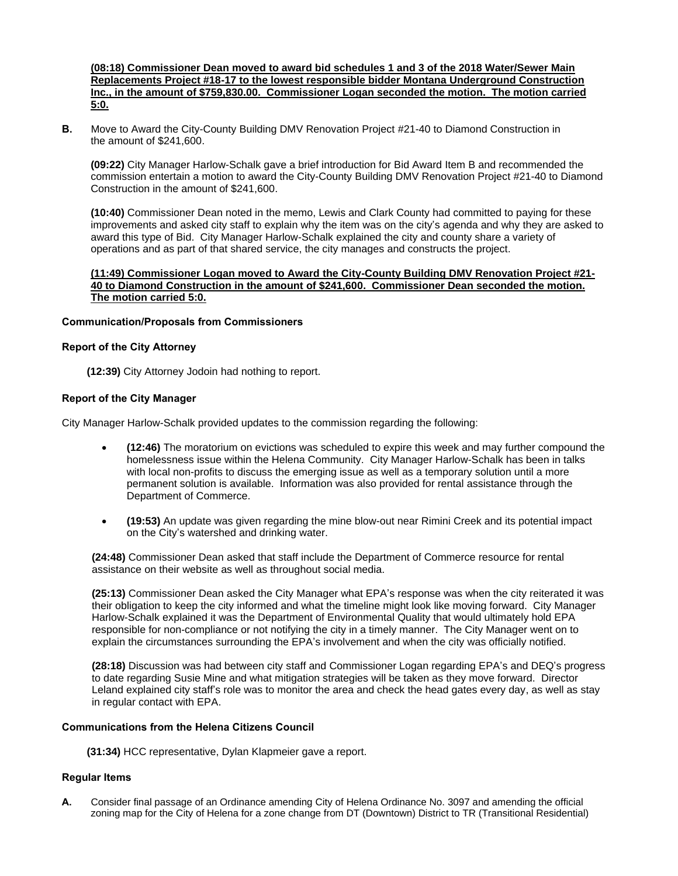## **(08:18) Commissioner Dean moved to award bid schedules 1 and 3 of the 2018 Water/Sewer Main Replacements Project #18-17 to the lowest responsible bidder Montana Underground Construction Inc., in the amount of \$759,830.00. Commissioner Logan seconded the motion. The motion carried 5:0.**

**B.** Move to Award the City-County Building DMV Renovation Project #21-40 to Diamond Construction in the amount of \$241,600.

**(09:22)** City Manager Harlow-Schalk gave a brief introduction for Bid Award Item B and recommended the commission entertain a motion to award the City-County Building DMV Renovation Project #21-40 to Diamond Construction in the amount of \$241,600.

**(10:40)** Commissioner Dean noted in the memo, Lewis and Clark County had committed to paying for these improvements and asked city staff to explain why the item was on the city's agenda and why they are asked to award this type of Bid. City Manager Harlow-Schalk explained the city and county share a variety of operations and as part of that shared service, the city manages and constructs the project.

# **(11:49) Commissioner Logan moved to Award the City-County Building DMV Renovation Project #21- 40 to Diamond Construction in the amount of \$241,600. Commissioner Dean seconded the motion. The motion carried 5:0.**

# **Communication/Proposals from Commissioners**

# **Report of the City Attorney**

**(12:39)** City Attorney Jodoin had nothing to report.

# **Report of the City Manager**

City Manager Harlow-Schalk provided updates to the commission regarding the following:

- **(12:46)** The moratorium on evictions was scheduled to expire this week and may further compound the homelessness issue within the Helena Community. City Manager Harlow-Schalk has been in talks with local non-profits to discuss the emerging issue as well as a temporary solution until a more permanent solution is available. Information was also provided for rental assistance through the Department of Commerce.
- **(19:53)** An update was given regarding the mine blow-out near Rimini Creek and its potential impact on the City's watershed and drinking water.

**(24:48)** Commissioner Dean asked that staff include the Department of Commerce resource for rental assistance on their website as well as throughout social media.

**(25:13)** Commissioner Dean asked the City Manager what EPA's response was when the city reiterated it was their obligation to keep the city informed and what the timeline might look like moving forward. City Manager Harlow-Schalk explained it was the Department of Environmental Quality that would ultimately hold EPA responsible for non-compliance or not notifying the city in a timely manner. The City Manager went on to explain the circumstances surrounding the EPA's involvement and when the city was officially notified.

**(28:18)** Discussion was had between city staff and Commissioner Logan regarding EPA's and DEQ's progress to date regarding Susie Mine and what mitigation strategies will be taken as they move forward. Director Leland explained city staff's role was to monitor the area and check the head gates every day, as well as stay in regular contact with EPA.

## **Communications from the Helena Citizens Council**

**(31:34)** HCC representative, Dylan Klapmeier gave a report.

# **Regular Items**

**A.** Consider final passage of an Ordinance amending City of Helena Ordinance No. 3097 and amending the official zoning map for the City of Helena for a zone change from DT (Downtown) District to TR (Transitional Residential)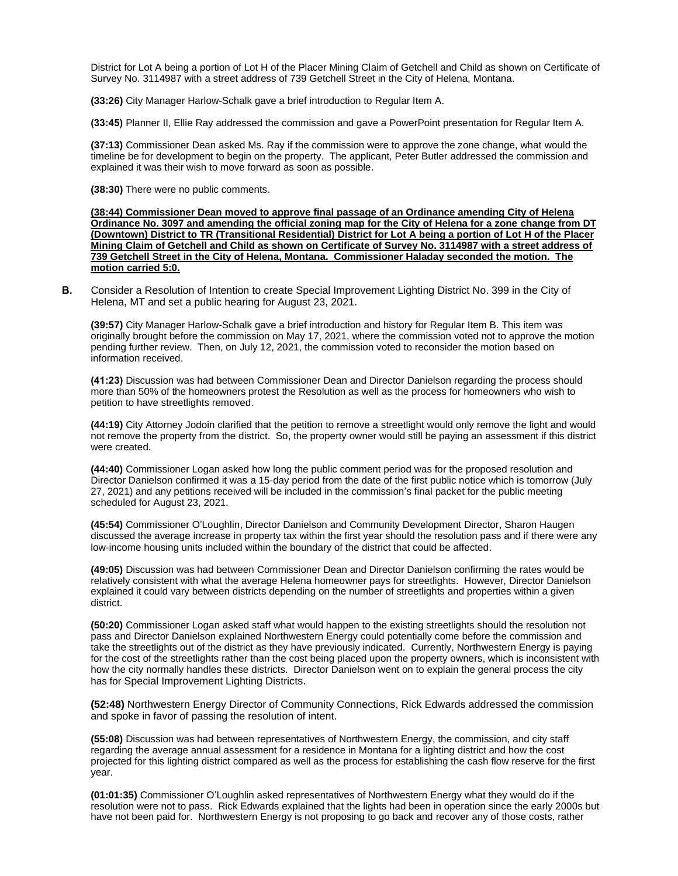District for Lot A being a portion of Lot H of the Placer Mining Claim of Getchell and Child as shown on Certificate of Survey No. 3114987 with a street address of 739 Getchell Street in the City of Helena, Montana.

**(33:26)** City Manager Harlow-Schalk gave a brief introduction to Regular Item A.

**(33:45)** Planner II, Ellie Ray addressed the commission and gave a PowerPoint presentation for Regular Item A.

**(37:13)** Commissioner Dean asked Ms. Ray if the commission were to approve the zone change, what would the timeline be for development to begin on the property. The applicant, Peter Butler addressed the commission and explained it was their wish to move forward as soon as possible.

**(38:30)** There were no public comments.

**(38:44) Commissioner Dean moved to approve final passage of an Ordinance amending City of Helena Ordinance No. 3097 and amending the official zoning map for the City of Helena for a zone change from DT (Downtown) District to TR (Transitional Residential) District for Lot A being a portion of Lot H of the Placer Mining Claim of Getchell and Child as shown on Certificate of Survey No. 3114987 with a street address of 739 Getchell Street in the City of Helena, Montana. Commissioner Haladay seconded the motion. The motion carried 5:0.**

**B.** Consider a Resolution of Intention to create Special Improvement Lighting District No. 399 in the City of Helena, MT and set a public hearing for August 23, 2021.

**(39:57)** City Manager Harlow-Schalk gave a brief introduction and history for Regular Item B. This item was originally brought before the commission on May 17, 2021, where the commission voted not to approve the motion pending further review. Then, on July 12, 2021, the commission voted to reconsider the motion based on information received.

**(41:23)** Discussion was had between Commissioner Dean and Director Danielson regarding the process should more than 50% of the homeowners protest the Resolution as well as the process for homeowners who wish to petition to have streetlights removed.

**(44:19)** City Attorney Jodoin clarified that the petition to remove a streetlight would only remove the light and would not remove the property from the district. So, the property owner would still be paying an assessment if this district were created.

**(44:40)** Commissioner Logan asked how long the public comment period was for the proposed resolution and Director Danielson confirmed it was a 15-day period from the date of the first public notice which is tomorrow (July 27, 2021) and any petitions received will be included in the commission's final packet for the public meeting scheduled for August 23, 2021.

**(45:54)** Commissioner O'Loughlin, Director Danielson and Community Development Director, Sharon Haugen discussed the average increase in property tax within the first year should the resolution pass and if there were any low-income housing units included within the boundary of the district that could be affected.

**(49:05)** Discussion was had between Commissioner Dean and Director Danielson confirming the rates would be relatively consistent with what the average Helena homeowner pays for streetlights. However, Director Danielson explained it could vary between districts depending on the number of streetlights and properties within a given district.

**(50:20)** Commissioner Logan asked staff what would happen to the existing streetlights should the resolution not pass and Director Danielson explained Northwestern Energy could potentially come before the commission and take the streetlights out of the district as they have previously indicated. Currently, Northwestern Energy is paying for the cost of the streetlights rather than the cost being placed upon the property owners, which is inconsistent with how the city normally handles these districts. Director Danielson went on to explain the general process the city has for Special Improvement Lighting Districts.

**(52:48)** Northwestern Energy Director of Community Connections, Rick Edwards addressed the commission and spoke in favor of passing the resolution of intent.

**(55:08)** Discussion was had between representatives of Northwestern Energy, the commission, and city staff regarding the average annual assessment for a residence in Montana for a lighting district and how the cost projected for this lighting district compared as well as the process for establishing the cash flow reserve for the first year.

**(01:01:35)** Commissioner O'Loughlin asked representatives of Northwestern Energy what they would do if the resolution were not to pass. Rick Edwards explained that the lights had been in operation since the early 2000s but have not been paid for. Northwestern Energy is not proposing to go back and recover any of those costs, rather